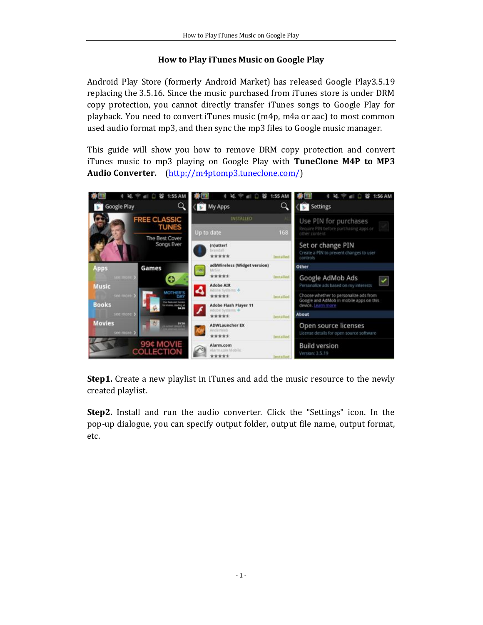## **How to Play iTunes Music on Google Play**

Android Play Store (formerly Android Market) has released Google Play3.5.19 replacing the 3.5.16. Since the music purchased from iTunes store is under DRM copy protection, you cannot directly transfer iTunes songs to Google Play for playback. You need to convert iTunes music (m4p, m4a or aac) to most common used audio format mp3, and then sync the mp3 files to Google music manager.

This guide will show you how to remove DRM copy protection and convert iTunes music to mp3 playing on Google Play with **TuneClone M4P to MP3 Audio Converter.** (http://m4ptomp3.tuneclone.com/)



**Step1.** Create a new playlist in iTunes and add the music resource to the newly created playlist.

**Step2.** Install and run the audio converter. Click the "Settings" icon. In the pop-up dialogue, you can specify output folder, output file name, output format, etc.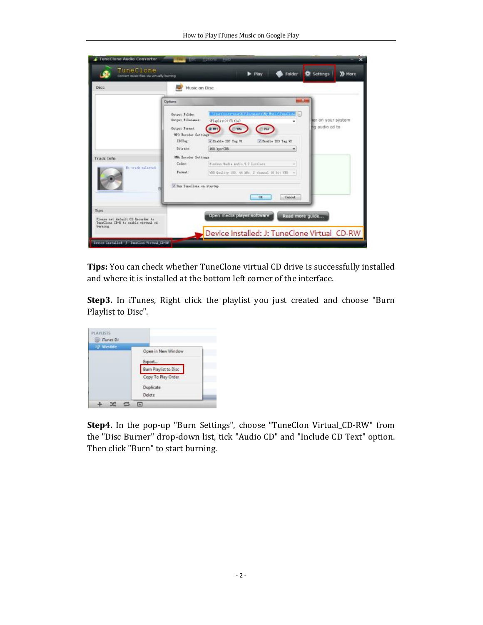| TineClone<br>Convert music files via virtually burning                                                |                                                                                          |                                                                                                         | Play | Folder              | <b>CE</b> Settings                    | >> More |
|-------------------------------------------------------------------------------------------------------|------------------------------------------------------------------------------------------|---------------------------------------------------------------------------------------------------------|------|---------------------|---------------------------------------|---------|
| Disc                                                                                                  | Music on Disc                                                                            |                                                                                                         |      |                     |                                       |         |
|                                                                                                       | Options                                                                                  |                                                                                                         |      |                     |                                       |         |
|                                                                                                       | Output Folder:<br>Output Filensees:<br>Output Fornat:<br>MF3 Excoder Settings<br>ID3Tug: | Where incorporate the Microscot ridly than of Panel 2 one of<br>Tiwlist MoTitle)<br>P Exable III Tag VI |      | V Enable IDS Tag V2 | ter on your system.<br>ad bo oibus an |         |
|                                                                                                       | Bitrate:                                                                                 | 160 № т-СВВ                                                                                             |      |                     |                                       |         |
| Track Info<br>Fo track salected                                                                       | <b>With Encoder Settings</b><br>Codes:<br>Fornat:                                        | Findevs Media Audio 9.2 Legaless<br>VOR Quality 100, 44 Min. 2 channel 16 bit VIII:                     |      |                     |                                       |         |
|                                                                                                       |                                                                                          | V Bus TuneClass on startup<br>Cancel<br>GK                                                              |      |                     |                                       |         |
| <b>Tips</b><br>Please pat default CD Recorder to<br>TuanClone CP-R to smable wirtual of<br>begrading. | Open media player software<br>Read more guide                                            |                                                                                                         |      |                     |                                       |         |
|                                                                                                       |                                                                                          | Device Installed: J: TuneClone Virtual CD-RW                                                            |      |                     |                                       |         |

**Tips:** You can check whether TuneClone virtual CD drive is successfully installed and where it is installed at the bottom left corner of the interface.

**Step3.** In iTunes, Right click the playlist you just created and choose "Burn Playlist to Disc".

| Tunes DJ<br><sup>2</sup> Westine |                      |
|----------------------------------|----------------------|
|                                  | Open in New Window   |
|                                  | Export               |
|                                  | Bum Playfist to Disc |
|                                  | Copy To Play Order   |
|                                  | Duplicate            |
|                                  | Delete               |

**Step4.** In the pop-up "Burn Settings", choose "TuneClon Virtual\_CD-RW" from the "Disc Burner" drop-down list, tick "Audio CD" and "Include CD Text" option. Then click "Burn" to start burning.